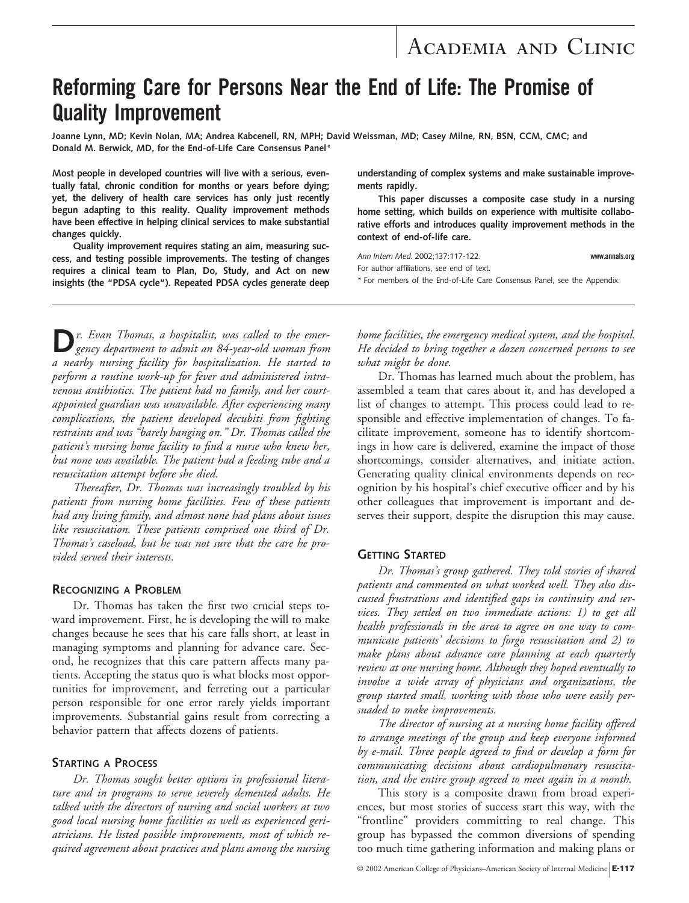## Academia and Clinic

# **Reforming Care for Persons Near the End of Life: The Promise of Quality Improvement**

**Joanne Lynn, MD; Kevin Nolan, MA; Andrea Kabcenell, RN, MPH; David Weissman, MD; Casey Milne, RN, BSN, CCM, CMC; and Donald M. Berwick, MD, for the End-of-Life Care Consensus Panel**\*

**Most people in developed countries will live with a serious, eventually fatal, chronic condition for months or years before dying; yet, the delivery of health care services has only just recently begun adapting to this reality. Quality improvement methods have been effective in helping clinical services to make substantial changes quickly.**

**Quality improvement requires stating an aim, measuring success, and testing possible improvements. The testing of changes requires a clinical team to Plan, Do, Study, and Act on new insights (the "PDSA cycle"). Repeated PDSA cycles generate deep**

**D***r. Evan Thomas, a hospitalist, was called to the emer-gency department to admit an 84-year-old woman from a nearby nursing facility for hospitalization. He started to perform a routine work-up for fever and administered intravenous antibiotics. The patient had no family, and her courtappointed guardian was unavailable. After experiencing many complications, the patient developed decubiti from fighting restraints and was "barely hanging on." Dr. Thomas called the patient's nursing home facility to find a nurse who knew her, but none was available. The patient had a feeding tube and a resuscitation attempt before she died.*

*Thereafter, Dr. Thomas was increasingly troubled by his patients from nursing home facilities. Few of these patients had any living family, and almost none had plans about issues like resuscitation. These patients comprised one third of Dr. Thomas's caseload, but he was not sure that the care he provided served their interests.*

#### **RECOGNIZING A PROBLEM**

Dr. Thomas has taken the first two crucial steps toward improvement. First, he is developing the will to make changes because he sees that his care falls short, at least in managing symptoms and planning for advance care. Second, he recognizes that this care pattern affects many patients. Accepting the status quo is what blocks most opportunities for improvement, and ferreting out a particular person responsible for one error rarely yields important improvements. Substantial gains result from correcting a behavior pattern that affects dozens of patients.

#### **STARTING A PROCESS**

*Dr. Thomas sought better options in professional literature and in programs to serve severely demented adults. He talked with the directors of nursing and social workers at two good local nursing home facilities as well as experienced geriatricians. He listed possible improvements, most of which required agreement about practices and plans among the nursing* **understanding of complex systems and make sustainable improvements rapidly.**

**This paper discusses a composite case study in a nursing home setting, which builds on experience with multisite collaborative efforts and introduces quality improvement methods in the context of end-of-life care.**

*Ann Intern Med.* 2002;137:117-122. **www.annals.org** For author affiliations, see end of text. \* For members of the End-of-Life Care Consensus Panel, see the Appendix.

*home facilities, the emergency medical system, and the hospital. He decided to bring together a dozen concerned persons to see what might be done.*

Dr. Thomas has learned much about the problem, has assembled a team that cares about it, and has developed a list of changes to attempt. This process could lead to responsible and effective implementation of changes. To facilitate improvement, someone has to identify shortcomings in how care is delivered, examine the impact of those shortcomings, consider alternatives, and initiate action. Generating quality clinical environments depends on recognition by his hospital's chief executive officer and by his other colleagues that improvement is important and deserves their support, despite the disruption this may cause.

#### **GETTING STARTED**

*Dr. Thomas's group gathered. They told stories of shared patients and commented on what worked well. They also discussed frustrations and identified gaps in continuity and services. They settled on two immediate actions: 1) to get all health professionals in the area to agree on one way to communicate patients' decisions to forgo resuscitation and 2) to make plans about advance care planning at each quarterly review at one nursing home. Although they hoped eventually to involve a wide array of physicians and organizations, the group started small, working with those who were easily persuaded to make improvements.*

*The director of nursing at a nursing home facility offered to arrange meetings of the group and keep everyone informed by e-mail. Three people agreed to find or develop a form for communicating decisions about cardiopulmonary resuscitation, and the entire group agreed to meet again in a month.*

This story is a composite drawn from broad experiences, but most stories of success start this way, with the "frontline" providers committing to real change. This group has bypassed the common diversions of spending too much time gathering information and making plans or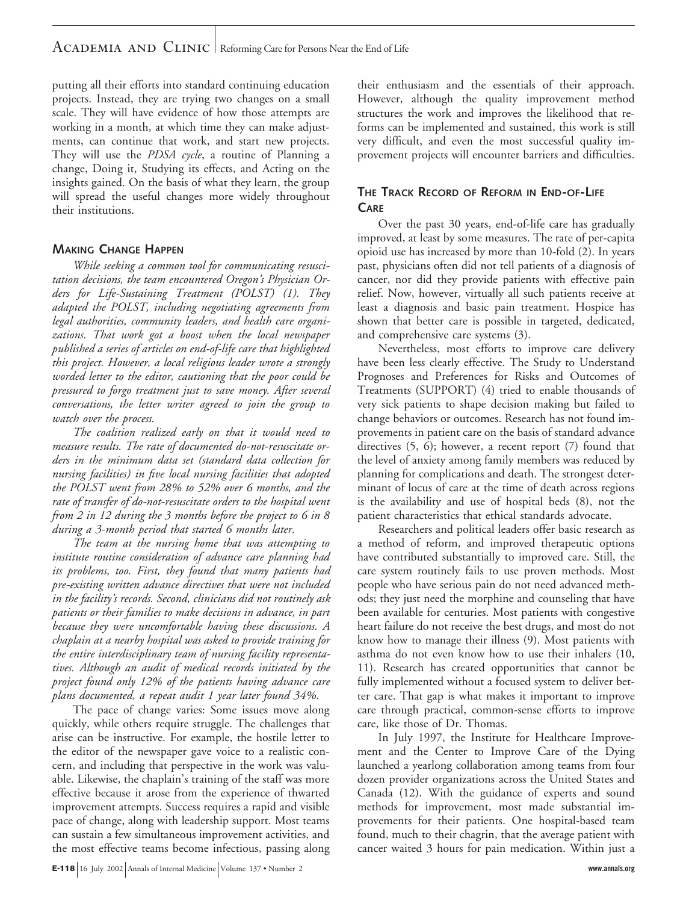putting all their efforts into standard continuing education projects. Instead, they are trying two changes on a small scale. They will have evidence of how those attempts are working in a month, at which time they can make adjustments, can continue that work, and start new projects. They will use the *PDSA cycle*, a routine of Planning a change, Doing it, Studying its effects, and Acting on the insights gained. On the basis of what they learn, the group will spread the useful changes more widely throughout their institutions.

## **MAKING CHANGE HAPPEN**

*While seeking a common tool for communicating resuscitation decisions, the team encountered Oregon's Physician Orders for Life-Sustaining Treatment (POLST) (1). They adapted the POLST, including negotiating agreements from legal authorities, community leaders, and health care organizations. That work got a boost when the local newspaper published a series of articles on end-of-life care that highlighted this project. However, a local religious leader wrote a strongly worded letter to the editor, cautioning that the poor could be pressured to forgo treatment just to save money. After several conversations, the letter writer agreed to join the group to watch over the process.*

*The coalition realized early on that it would need to measure results. The rate of documented do-not-resuscitate orders in the minimum data set (standard data collection for nursing facilities) in five local nursing facilities that adopted the POLST went from 28% to 52% over 6 months, and the rate of transfer of do-not-resuscitate orders to the hospital went from 2 in 12 during the 3 months before the project to 6 in 8 during a 3-month period that started 6 months later.*

*The team at the nursing home that was attempting to institute routine consideration of advance care planning had its problems, too. First, they found that many patients had pre-existing written advance directives that were not included in the facility's records. Second, clinicians did not routinely ask patients or their families to make decisions in advance, in part because they were uncomfortable having these discussions. A chaplain at a nearby hospital was asked to provide training for the entire interdisciplinary team of nursing facility representatives. Although an audit of medical records initiated by the project found only 12% of the patients having advance care plans documented, a repeat audit 1 year later found 34%.*

The pace of change varies: Some issues move along quickly, while others require struggle. The challenges that arise can be instructive. For example, the hostile letter to the editor of the newspaper gave voice to a realistic concern, and including that perspective in the work was valuable. Likewise, the chaplain's training of the staff was more effective because it arose from the experience of thwarted improvement attempts. Success requires a rapid and visible pace of change, along with leadership support. Most teams can sustain a few simultaneous improvement activities, and the most effective teams become infectious, passing along

their enthusiasm and the essentials of their approach. However, although the quality improvement method structures the work and improves the likelihood that reforms can be implemented and sustained, this work is still very difficult, and even the most successful quality improvement projects will encounter barriers and difficulties.

## **THE TRACK RECORD OF REFORM IN END-OF-LIFE CARE**

Over the past 30 years, end-of-life care has gradually improved, at least by some measures. The rate of per-capita opioid use has increased by more than 10-fold (2). In years past, physicians often did not tell patients of a diagnosis of cancer, nor did they provide patients with effective pain relief. Now, however, virtually all such patients receive at least a diagnosis and basic pain treatment. Hospice has shown that better care is possible in targeted, dedicated, and comprehensive care systems (3).

Nevertheless, most efforts to improve care delivery have been less clearly effective. The Study to Understand Prognoses and Preferences for Risks and Outcomes of Treatments (SUPPORT) (4) tried to enable thousands of very sick patients to shape decision making but failed to change behaviors or outcomes. Research has not found improvements in patient care on the basis of standard advance directives  $(5, 6)$ ; however, a recent report  $(7)$  found that the level of anxiety among family members was reduced by planning for complications and death. The strongest determinant of locus of care at the time of death across regions is the availability and use of hospital beds (8), not the patient characteristics that ethical standards advocate.

Researchers and political leaders offer basic research as a method of reform, and improved therapeutic options have contributed substantially to improved care. Still, the care system routinely fails to use proven methods. Most people who have serious pain do not need advanced methods; they just need the morphine and counseling that have been available for centuries. Most patients with congestive heart failure do not receive the best drugs, and most do not know how to manage their illness (9). Most patients with asthma do not even know how to use their inhalers (10, 11). Research has created opportunities that cannot be fully implemented without a focused system to deliver better care. That gap is what makes it important to improve care through practical, common-sense efforts to improve care, like those of Dr. Thomas.

In July 1997, the Institute for Healthcare Improvement and the Center to Improve Care of the Dying launched a yearlong collaboration among teams from four dozen provider organizations across the United States and Canada (12). With the guidance of experts and sound methods for improvement, most made substantial improvements for their patients. One hospital-based team found, much to their chagrin, that the average patient with cancer waited 3 hours for pain medication. Within just a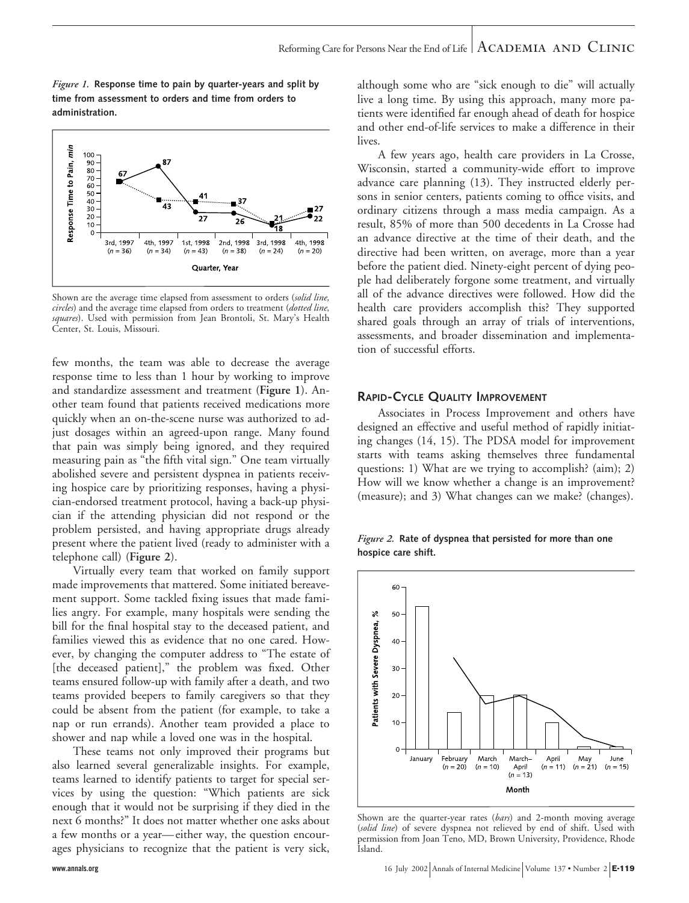*Figure 1.* **Response time to pain by quarter-years and split by time from assessment to orders and time from orders to administration.**



Shown are the average time elapsed from assessment to orders (*solid line, circles*) and the average time elapsed from orders to treatment (*dotted line, squares*). Used with permission from Jean Brontoli, St. Mary's Health Center, St. Louis, Missouri.

few months, the team was able to decrease the average response time to less than 1 hour by working to improve and standardize assessment and treatment (**Figure 1**). Another team found that patients received medications more quickly when an on-the-scene nurse was authorized to adjust dosages within an agreed-upon range. Many found that pain was simply being ignored, and they required measuring pain as "the fifth vital sign." One team virtually abolished severe and persistent dyspnea in patients receiving hospice care by prioritizing responses, having a physician-endorsed treatment protocol, having a back-up physician if the attending physician did not respond or the problem persisted, and having appropriate drugs already present where the patient lived (ready to administer with a telephone call) (**Figure 2**).

Virtually every team that worked on family support made improvements that mattered. Some initiated bereavement support. Some tackled fixing issues that made families angry. For example, many hospitals were sending the bill for the final hospital stay to the deceased patient, and families viewed this as evidence that no one cared. However, by changing the computer address to "The estate of [the deceased patient]," the problem was fixed. Other teams ensured follow-up with family after a death, and two teams provided beepers to family caregivers so that they could be absent from the patient (for example, to take a nap or run errands). Another team provided a place to shower and nap while a loved one was in the hospital.

These teams not only improved their programs but also learned several generalizable insights. For example, teams learned to identify patients to target for special services by using the question: "Which patients are sick enough that it would not be surprising if they died in the next 6 months?" It does not matter whether one asks about a few months or a year—either way, the question encourages physicians to recognize that the patient is very sick,

although some who are "sick enough to die" will actually live a long time. By using this approach, many more patients were identified far enough ahead of death for hospice and other end-of-life services to make a difference in their lives.

A few years ago, health care providers in La Crosse, Wisconsin, started a community-wide effort to improve advance care planning (13). They instructed elderly persons in senior centers, patients coming to office visits, and ordinary citizens through a mass media campaign. As a result, 85% of more than 500 decedents in La Crosse had an advance directive at the time of their death, and the directive had been written, on average, more than a year before the patient died. Ninety-eight percent of dying people had deliberately forgone some treatment, and virtually all of the advance directives were followed. How did the health care providers accomplish this? They supported shared goals through an array of trials of interventions, assessments, and broader dissemination and implementation of successful efforts.

#### **RAPID-CYCLE QUALITY IMPROVEMENT**

Associates in Process Improvement and others have designed an effective and useful method of rapidly initiating changes (14, 15). The PDSA model for improvement starts with teams asking themselves three fundamental questions: 1) What are we trying to accomplish? (aim); 2) How will we know whether a change is an improvement? (measure); and 3) What changes can we make? (changes).

*Figure 2.* **Rate of dyspnea that persisted for more than one hospice care shift.**



Shown are the quarter-year rates (*bars*) and 2-month moving average (*solid line*) of severe dyspnea not relieved by end of shift. Used with permission from Joan Teno, MD, Brown University, Providence, Rhode Island.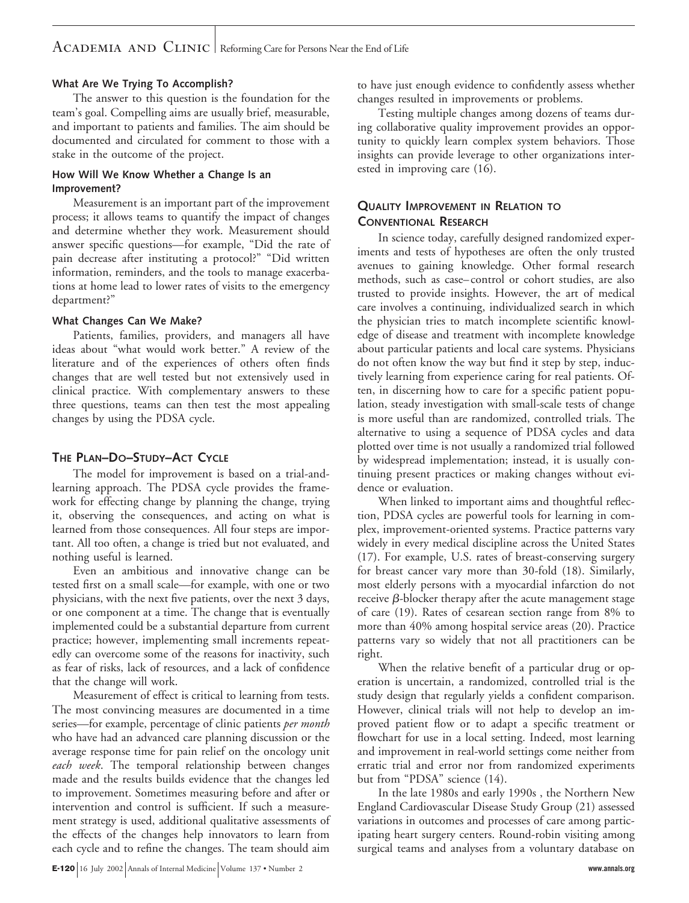#### **What Are We Trying To Accomplish?**

The answer to this question is the foundation for the team's goal. Compelling aims are usually brief, measurable, and important to patients and families. The aim should be documented and circulated for comment to those with a stake in the outcome of the project.

#### **How Will We Know Whether a Change Is an Improvement?**

Measurement is an important part of the improvement process; it allows teams to quantify the impact of changes and determine whether they work. Measurement should answer specific questions—for example, "Did the rate of pain decrease after instituting a protocol?" "Did written information, reminders, and the tools to manage exacerbations at home lead to lower rates of visits to the emergency department?"

#### **What Changes Can We Make?**

Patients, families, providers, and managers all have ideas about "what would work better." A review of the literature and of the experiences of others often finds changes that are well tested but not extensively used in clinical practice. With complementary answers to these three questions, teams can then test the most appealing changes by using the PDSA cycle.

## **THE PLAN–DO–STUDY–ACT CYCLE**

The model for improvement is based on a trial-andlearning approach. The PDSA cycle provides the framework for effecting change by planning the change, trying it, observing the consequences, and acting on what is learned from those consequences. All four steps are important. All too often, a change is tried but not evaluated, and nothing useful is learned.

Even an ambitious and innovative change can be tested first on a small scale—for example, with one or two physicians, with the next five patients, over the next 3 days, or one component at a time. The change that is eventually implemented could be a substantial departure from current practice; however, implementing small increments repeatedly can overcome some of the reasons for inactivity, such as fear of risks, lack of resources, and a lack of confidence that the change will work.

Measurement of effect is critical to learning from tests. The most convincing measures are documented in a time series—for example, percentage of clinic patients *per month* who have had an advanced care planning discussion or the average response time for pain relief on the oncology unit *each week*. The temporal relationship between changes made and the results builds evidence that the changes led to improvement. Sometimes measuring before and after or intervention and control is sufficient. If such a measurement strategy is used, additional qualitative assessments of the effects of the changes help innovators to learn from each cycle and to refine the changes. The team should aim

to have just enough evidence to confidently assess whether changes resulted in improvements or problems.

Testing multiple changes among dozens of teams during collaborative quality improvement provides an opportunity to quickly learn complex system behaviors. Those insights can provide leverage to other organizations interested in improving care (16).

## **QUALITY IMPROVEMENT IN RELATION TO CONVENTIONAL RESEARCH**

In science today, carefully designed randomized experiments and tests of hypotheses are often the only trusted avenues to gaining knowledge. Other formal research methods, such as case–control or cohort studies, are also trusted to provide insights. However, the art of medical care involves a continuing, individualized search in which the physician tries to match incomplete scientific knowledge of disease and treatment with incomplete knowledge about particular patients and local care systems. Physicians do not often know the way but find it step by step, inductively learning from experience caring for real patients. Often, in discerning how to care for a specific patient population, steady investigation with small-scale tests of change is more useful than are randomized, controlled trials. The alternative to using a sequence of PDSA cycles and data plotted over time is not usually a randomized trial followed by widespread implementation; instead, it is usually continuing present practices or making changes without evidence or evaluation.

When linked to important aims and thoughtful reflection, PDSA cycles are powerful tools for learning in complex, improvement-oriented systems. Practice patterns vary widely in every medical discipline across the United States (17). For example, U.S. rates of breast-conserving surgery for breast cancer vary more than 30-fold (18). Similarly, most elderly persons with a myocardial infarction do not receive  $\beta$ -blocker therapy after the acute management stage of care (19). Rates of cesarean section range from 8% to more than 40% among hospital service areas (20). Practice patterns vary so widely that not all practitioners can be right.

When the relative benefit of a particular drug or operation is uncertain, a randomized, controlled trial is the study design that regularly yields a confident comparison. However, clinical trials will not help to develop an improved patient flow or to adapt a specific treatment or flowchart for use in a local setting. Indeed, most learning and improvement in real-world settings come neither from erratic trial and error nor from randomized experiments but from "PDSA" science (14).

In the late 1980s and early 1990s , the Northern New England Cardiovascular Disease Study Group (21) assessed variations in outcomes and processes of care among participating heart surgery centers. Round-robin visiting among surgical teams and analyses from a voluntary database on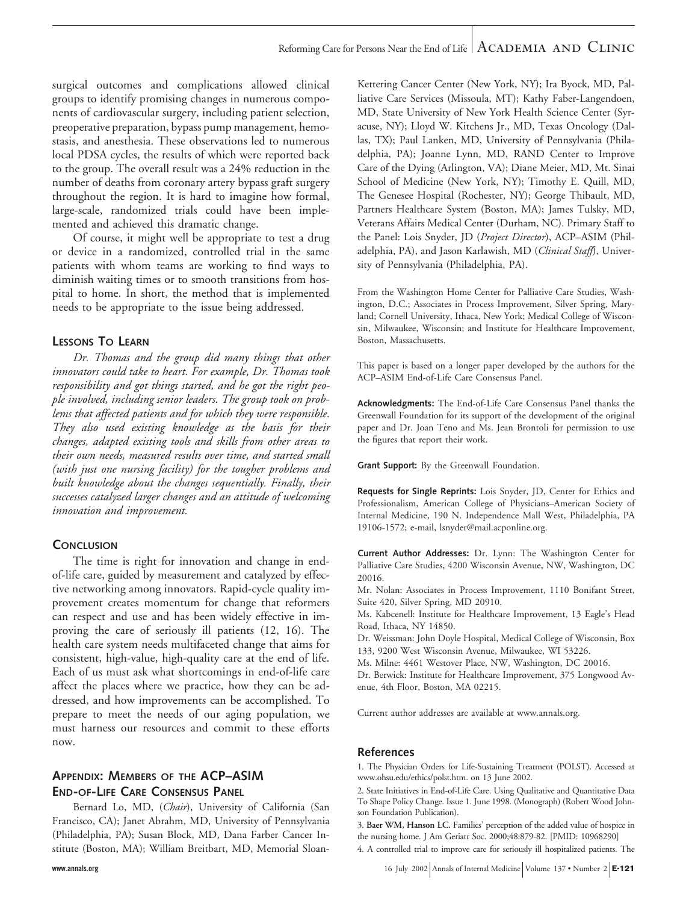surgical outcomes and complications allowed clinical groups to identify promising changes in numerous components of cardiovascular surgery, including patient selection, preoperative preparation, bypass pump management, hemostasis, and anesthesia. These observations led to numerous local PDSA cycles, the results of which were reported back to the group. The overall result was a 24% reduction in the number of deaths from coronary artery bypass graft surgery throughout the region. It is hard to imagine how formal, large-scale, randomized trials could have been implemented and achieved this dramatic change.

Of course, it might well be appropriate to test a drug or device in a randomized, controlled trial in the same patients with whom teams are working to find ways to diminish waiting times or to smooth transitions from hospital to home. In short, the method that is implemented needs to be appropriate to the issue being addressed.

## **LESSONS TO LEARN**

*Dr. Thomas and the group did many things that other innovators could take to heart. For example, Dr. Thomas took responsibility and got things started, and he got the right people involved, including senior leaders. The group took on problems that affected patients and for which they were responsible. They also used existing knowledge as the basis for their changes, adapted existing tools and skills from other areas to their own needs, measured results over time, and started small (with just one nursing facility) for the tougher problems and built knowledge about the changes sequentially. Finally, their successes catalyzed larger changes and an attitude of welcoming innovation and improvement.*

## **CONCLUSION**

The time is right for innovation and change in endof-life care, guided by measurement and catalyzed by effective networking among innovators. Rapid-cycle quality improvement creates momentum for change that reformers can respect and use and has been widely effective in improving the care of seriously ill patients (12, 16). The health care system needs multifaceted change that aims for consistent, high-value, high-quality care at the end of life. Each of us must ask what shortcomings in end-of-life care affect the places where we practice, how they can be addressed, and how improvements can be accomplished. To prepare to meet the needs of our aging population, we must harness our resources and commit to these efforts now.

## **APPENDIX: MEMBERS OF THE ACP–ASIM END-OF-LIFE CARE CONSENSUS PANEL**

Bernard Lo, MD, (*Chair*), University of California (San Francisco, CA); Janet Abrahm, MD, University of Pennsylvania (Philadelphia, PA); Susan Block, MD, Dana Farber Cancer Institute (Boston, MA); William Breitbart, MD, Memorial Sloan-

Kettering Cancer Center (New York, NY); Ira Byock, MD, Palliative Care Services (Missoula, MT); Kathy Faber-Langendoen, MD, State University of New York Health Science Center (Syracuse, NY); Lloyd W. Kitchens Jr., MD, Texas Oncology (Dallas, TX); Paul Lanken, MD, University of Pennsylvania (Philadelphia, PA); Joanne Lynn, MD, RAND Center to Improve Care of the Dying (Arlington, VA); Diane Meier, MD, Mt. Sinai School of Medicine (New York, NY); Timothy E. Quill, MD, The Genesee Hospital (Rochester, NY); George Thibault, MD, Partners Healthcare System (Boston, MA); James Tulsky, MD, Veterans Affairs Medical Center (Durham, NC). Primary Staff to the Panel: Lois Snyder, JD (*Project Director*), ACP–ASIM (Philadelphia, PA), and Jason Karlawish, MD (*Clinical Staff*), University of Pennsylvania (Philadelphia, PA).

From the Washington Home Center for Palliative Care Studies, Washington, D.C.; Associates in Process Improvement, Silver Spring, Maryland; Cornell University, Ithaca, New York; Medical College of Wisconsin, Milwaukee, Wisconsin; and Institute for Healthcare Improvement, Boston, Massachusetts.

This paper is based on a longer paper developed by the authors for the ACP–ASIM End-of-Life Care Consensus Panel.

**Acknowledgments:** The End-of-Life Care Consensus Panel thanks the Greenwall Foundation for its support of the development of the original paper and Dr. Joan Teno and Ms. Jean Brontoli for permission to use the figures that report their work.

**Grant Support:** By the Greenwall Foundation.

**Requests for Single Reprints:** Lois Snyder, JD, Center for Ethics and Professionalism, American College of Physicians–American Society of Internal Medicine, 190 N. Independence Mall West, Philadelphia, PA 19106-1572; e-mail, lsnyder@mail.acponline.org.

**Current Author Addresses:** Dr. Lynn: The Washington Center for Palliative Care Studies, 4200 Wisconsin Avenue, NW, Washington, DC 20016.

Mr. Nolan: Associates in Process Improvement, 1110 Bonifant Street, Suite 420, Silver Spring, MD 20910.

Ms. Kabcenell: Institute for Healthcare Improvement, 13 Eagle's Head Road, Ithaca, NY 14850.

Dr. Weissman: John Doyle Hospital, Medical College of Wisconsin, Box 133, 9200 West Wisconsin Avenue, Milwaukee, WI 53226.

Ms. Milne: 4461 Westover Place, NW, Washington, DC 20016.

Dr. Berwick: Institute for Healthcare Improvement, 375 Longwood Avenue, 4th Floor, Boston, MA 02215.

Current author addresses are available at www.annals.org.

#### **References**

1. The Physician Orders for Life-Sustaining Treatment (POLST). Accessed at www.ohsu.edu/ethics/polst.htm. on 13 June 2002.

2. State Initiatives in End-of-Life Care. Using Qualitative and Quantitative Data To Shape Policy Change. Issue 1. June 1998. (Monograph) (Robert Wood Johnson Foundation Publication).

3. **Baer WM, Hanson LC.** Families' perception of the added value of hospice in the nursing home. J Am Geriatr Soc. 2000;48:879-82. [PMID: 10968290]

4. A controlled trial to improve care for seriously ill hospitalized patients. The

**www.annals.org** 16 July 2002 Annals of Internal Medicine Volume 137 • Number 2 **E-121**